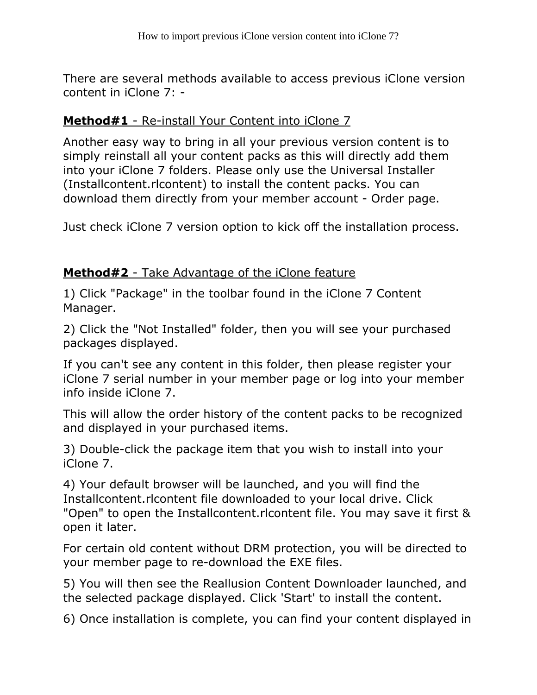There are several methods available to access previous iClone version content in iClone 7: -

## **Method#1** - Re-install Your Content into iClone 7

Another easy way to bring in all your previous version content is to simply reinstall all your content packs as this will directly add them into your iClone 7 folders. Please only use the Universal Installer (Installcontent.rlcontent) to install the content packs. You can download them directly from your member account - Order page.

Just check iClone 7 version option to kick off the installation process.

## Method#2 - Take Advantage of the iClone feature

1) Click "Package" in the toolbar found in the iClone 7 Content Manager.

2) Click the "Not Installed" folder, then you will see your purchased packages displayed.

If you can't see any content in this folder, then please register your iClone 7 serial number in your member page or log into your member info inside iClone 7.

This will allow the order history of the content packs to be recognized and displayed in your purchased items.

3) Double-click the package item that you wish to install into your iClone 7.

4) Your default browser will be launched, and you will find the Installcontent.rlcontent file downloaded to your local drive. Click "Open" to open the Installcontent.rlcontent file. You may save it first & open it later.

For certain old content without DRM protection, you will be directed to your member page to re-download the EXE files.

5) You will then see the Reallusion Content Downloader launched, and the selected package displayed. Click 'Start' to install the content.

6) Once installation is complete, you can find your content displayed in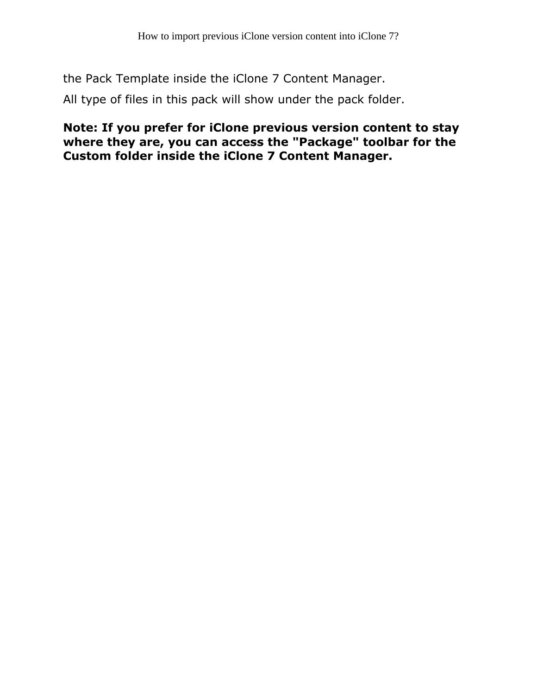the Pack Template inside the iClone 7 Content Manager.

All type of files in this pack will show under the pack folder.

Note: If you prefer for iClone previous version content to stay where they are, you can access the "Package" toolbar for the Custom folder inside the iClone 7 Content Manager.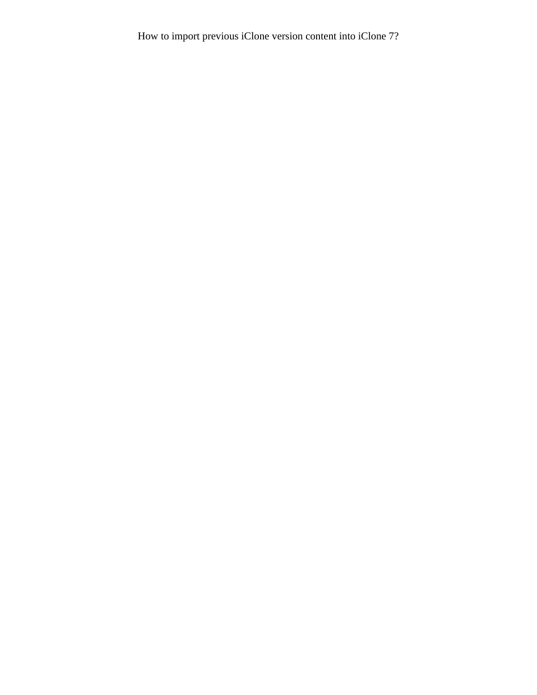How to import previous iClone version content into iClone 7?